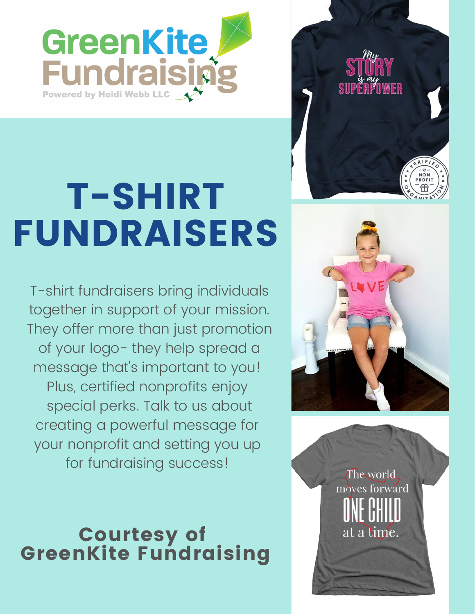

## T-SHIRT FUNDRAISERS

T-shirt fundraisers bring individuals together in support of your mission. They offer more than just promotion of your logo- they help spread a message that's important to you! Plus, certified nonprofits enjoy special perks. Talk to us about creating a powerful message for your nonprofit and setting you up for fundraising success!

Courtesy of GreenKite Fundraising





Theworld moves forward

at a lime.